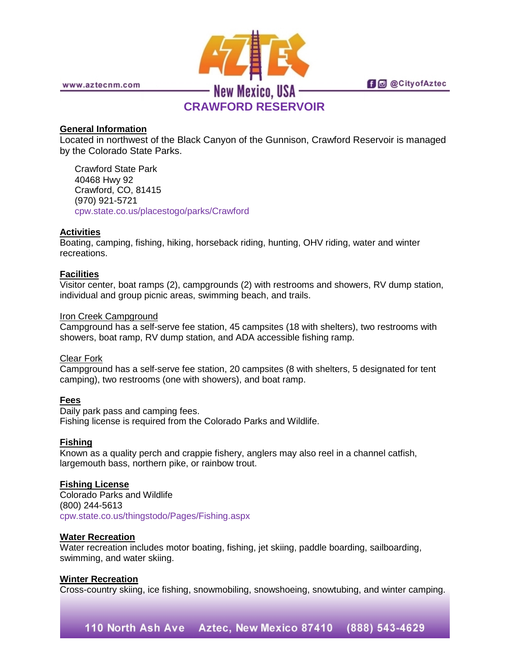

www.aztecnm.com

**fi** @ @ City of Aztec

# **CRAWFORD RESERVOIR**

# **General Information**

Located in northwest of the Black Canyon of the Gunnison, Crawford Reservoir is managed by the Colorado State Parks.

Crawford State Park 40468 Hwy 92 Crawford, CO, 81415 (970) 921-5721 [cpw.state.co.us/placestogo/parks/Crawford](http://cpw.state.co.us/placestogo/parks/Crawford)

# **Activities**

Boating, camping, fishing, hiking, horseback riding, hunting, OHV riding, water and winter recreations.

# **Facilities**

Visitor center, boat ramps (2), campgrounds (2) with restrooms and showers, RV dump station, individual and group picnic areas, swimming beach, and trails.

#### Iron Creek Campground

Campground has a self-serve fee station, 45 campsites (18 with shelters), two restrooms with showers, boat ramp, RV dump station, and ADA accessible fishing ramp.

# Clear Fork

Campground has a self-serve fee station, 20 campsites (8 with shelters, 5 designated for tent camping), two restrooms (one with showers), and boat ramp.

#### **Fees**

Daily park pass and camping fees. Fishing license is required from the Colorado Parks and Wildlife.

# **Fishing**

Known as a quality perch and crappie fishery, anglers may also reel in a channel catfish, largemouth bass, northern pike, or rainbow trout.

#### **Fishing License**

Colorado Parks and Wildlife (800) 244-5613 [cpw.state.co.us/thingstodo/Pages/Fishing.aspx](http://cpw.state.co.us/thingstodo/Pages/Fishing.aspx)

#### **Water Recreation**

Water recreation includes motor boating, fishing, jet skiing, paddle boarding, sailboarding, swimming, and water skiing.

#### **Winter Recreation**

Cross-country skiing, ice fishing, snowmobiling, snowshoeing, snowtubing, and winter camping.

# 110 North Ash Ave Aztec, New Mexico 87410 (888) 543-4629